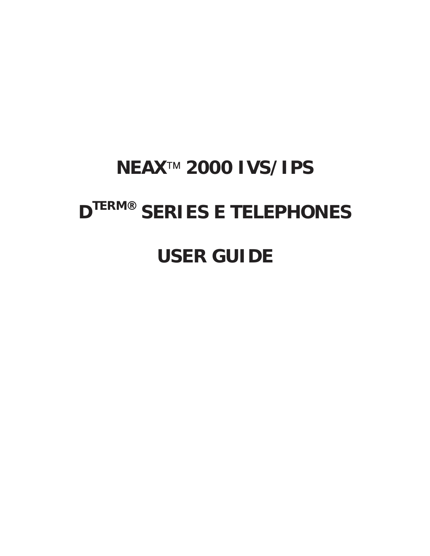# **NEAX<sup>™</sup> 2000 IVS/IPS DTERM® SERIES E TELEPHONES**

**USER GUIDE**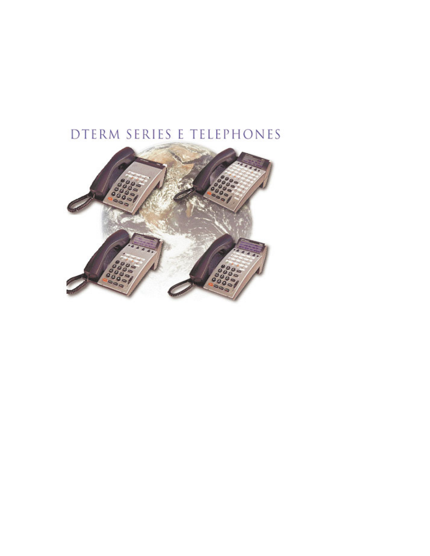# DTERM SERIES E TELEPHONES

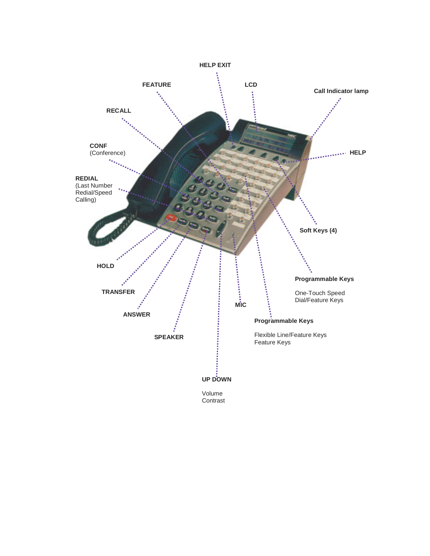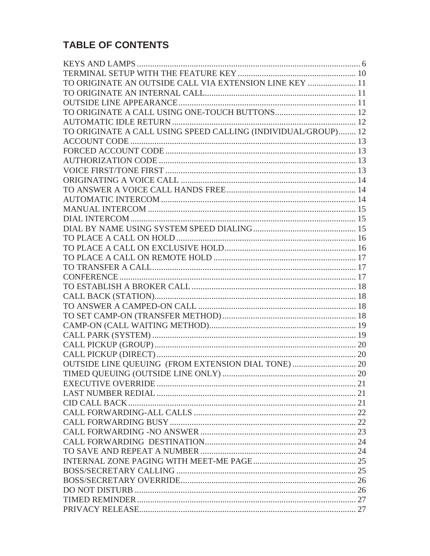## TABLE OF CONTENTS

| TO ORIGINATE AN OUTSIDE CALL VIA EXTENSION LINE KEY  11       |  |
|---------------------------------------------------------------|--|
|                                                               |  |
|                                                               |  |
|                                                               |  |
|                                                               |  |
| TO ORIGINATE A CALL USING SPEED CALLING (INDIVIDUAL/GROUP) 12 |  |
|                                                               |  |
|                                                               |  |
|                                                               |  |
|                                                               |  |
|                                                               |  |
|                                                               |  |
|                                                               |  |
|                                                               |  |
|                                                               |  |
|                                                               |  |
|                                                               |  |
|                                                               |  |
|                                                               |  |
|                                                               |  |
|                                                               |  |
|                                                               |  |
|                                                               |  |
|                                                               |  |
|                                                               |  |
|                                                               |  |
|                                                               |  |
|                                                               |  |
|                                                               |  |
|                                                               |  |
|                                                               |  |
|                                                               |  |
|                                                               |  |
|                                                               |  |
|                                                               |  |
|                                                               |  |
|                                                               |  |
|                                                               |  |
|                                                               |  |
|                                                               |  |
|                                                               |  |
|                                                               |  |
|                                                               |  |
|                                                               |  |
|                                                               |  |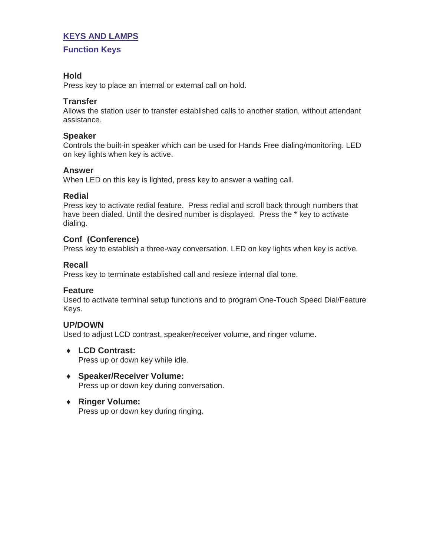## **KEYS AND LAMPS**

#### **Function Keys**

## **Hold**

Press key to place an internal or external call on hold.

## **Transfer**

Allows the station user to transfer established calls to another station, without attendant assistance.

#### **Speaker**

Controls the built-in speaker which can be used for Hands Free dialing/monitoring. LED on key lights when key is active.

#### **Answer**

When LED on this key is lighted, press key to answer a waiting call.

#### **Redial**

Press key to activate redial feature. Press redial and scroll back through numbers that have been dialed. Until the desired number is displayed. Press the \* key to activate dialing.

## **Conf (Conference)**

Press key to establish a three-way conversation. LED on key lights when key is active.

## **Recall**

Press key to terminate established call and resieze internal dial tone.

#### **Feature**

Used to activate terminal setup functions and to program One-Touch Speed Dial/Feature Keys.

## **UP/DOWN**

Used to adjust LCD contrast, speaker/receiver volume, and ringer volume.

♦ **LCD Contrast:**

Press up or down key while idle.

- ♦ **Speaker/Receiver Volume:** Press up or down key during conversation.
- ♦ **Ringer Volume:** Press up or down key during ringing.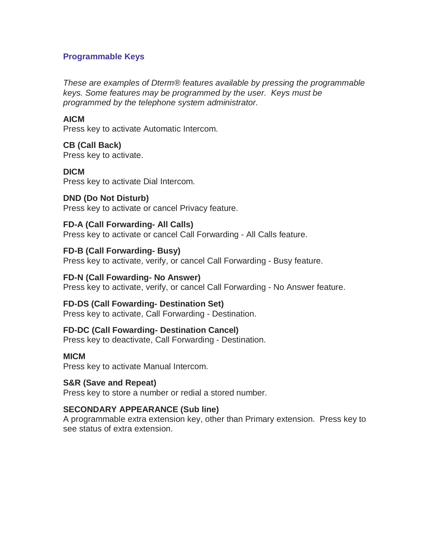## **Programmable Keys**

These are examples of Dterm® features available by pressing the programmable keys. Some features may be programmed by the user. Keys must be programmed by the telephone system administrator.

#### **AICM**

Press key to activate Automatic Intercom.

## **CB (Call Back)**

Press key to activate.

## **DICM**

Press key to activate Dial Intercom.

## **DND (Do Not Disturb)**

Press key to activate or cancel Privacy feature.

## **FD-A (Call Forwarding- All Calls)**

Press key to activate or cancel Call Forwarding - All Calls feature.

## **FD-B (Call Forwarding- Busy)**

Press key to activate, verify, or cancel Call Forwarding - Busy feature.

## **FD-N (Call Fowarding- No Answer)**

Press key to activate, verify, or cancel Call Forwarding - No Answer feature.

## **FD-DS (Call Fowarding- Destination Set)**

Press key to activate, Call Forwarding - Destination.

## **FD-DC (Call Fowarding- Destination Cancel)**

Press key to deactivate, Call Forwarding - Destination.

## **MICM**

Press key to activate Manual Intercom.

## **S&R (Save and Repeat)**

Press key to store a number or redial a stored number.

## **SECONDARY APPEARANCE (Sub line)**

A programmable extra extension key, other than Primary extension. Press key to see status of extra extension.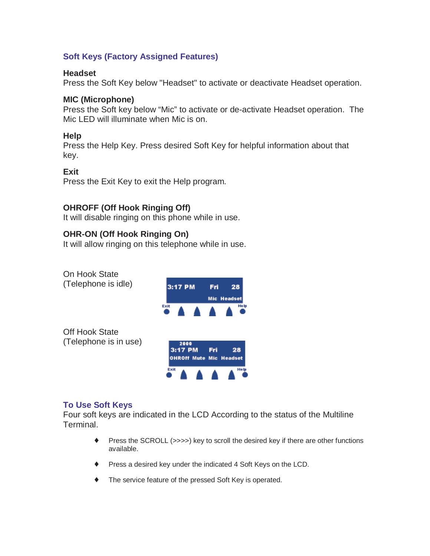## **Soft Keys (Factory Assigned Features)**

#### **Headset**

Press the Soft Key below "Headset" to activate or deactivate Headset operation.

## **MIC (Microphone)**

Press the Soft key below "Mic" to activate or de-activate Headset operation. The Mic LED will illuminate when Mic is on.

## **Help**

Press the Help Key. Press desired Soft Key for helpful information about that key.

## **Exit**

Press the Exit Key to exit the Help program.

## **OHROFF (Off Hook Ringing Off)**

It will disable ringing on this phone while in use.

## **OHR-ON (Off Hook Ringing On)**

It will allow ringing on this telephone while in use.



## **To Use Soft Keys**

Four soft keys are indicated in the LCD According to the status of the Multiline Terminal.

- ♦ Press the SCROLL (>>>>) key to scroll the desired key if there are other functions available.
- ♦ Press a desired key under the indicated 4 Soft Keys on the LCD.
- ♦ The service feature of the pressed Soft Key is operated.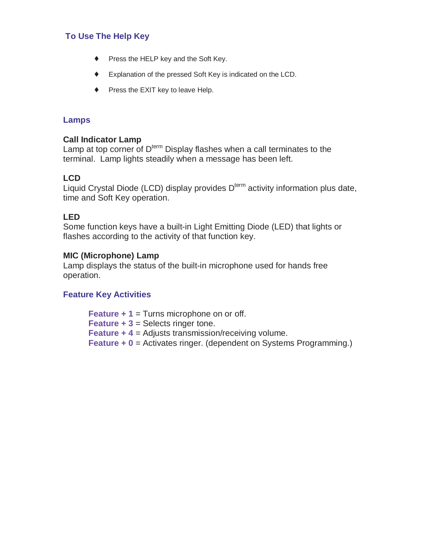## **To Use The Help Key**

- ♦ Press the HELP key and the Soft Key.
- ♦ Explanation of the pressed Soft Key is indicated on the LCD.
- ♦ Press the EXIT key to leave Help.

## **Lamps**

#### **Call Indicator Lamp**

Lamp at top corner of  $D<sup>term</sup>$  Display flashes when a call terminates to the terminal. Lamp lights steadily when a message has been left.

## **LCD**

Liquid Crystal Diode (LCD) display provides  $D^{term}$  activity information plus date, time and Soft Key operation.

## **LED**

Some function keys have a built-in Light Emitting Diode (LED) that lights or flashes according to the activity of that function key.

#### **MIC (Microphone) Lamp**

Lamp displays the status of the built-in microphone used for hands free operation.

## **Feature Key Activities**

**Feature + 1** = Turns microphone on or off. **Feature + 3 = Selects ringer tone. Feature + 4** = Adjusts transmission/receiving volume. **Feature + 0** = Activates ringer. (dependent on Systems Programming.)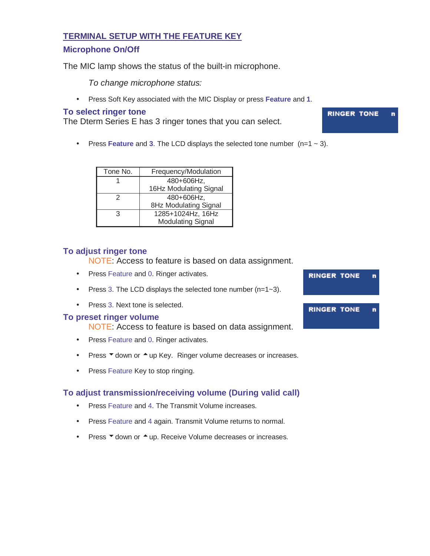#### **TERMINAL SETUP WITH THE FEATURE KEY**

#### **Microphone On/Off**

The MIC lamp shows the status of the built-in microphone.

To change microphone status:

• Press Soft Key associated with the MIC Display or press **Feature** and **1**.

#### **To select ringer tone**

The Dterm Series E has 3 ringer tones that you can select.

• Press **Feature** and **3**. The LCD displays the selected tone number (n=1 ~ 3).

| Tone No. | Frequency/Modulation     |
|----------|--------------------------|
|          | 480+606Hz,               |
|          | 16Hz Modulating Signal   |
| 2        | 480+606Hz,               |
|          | 8Hz Modulating Signal    |
| 3        | 1285+1024Hz, 16Hz        |
|          | <b>Modulating Signal</b> |

#### **To adjust ringer tone**

NOTE: Access to feature is based on data assignment.

- Press Feature and 0. Ringer activates.
- Press 3. The LCD displays the selected tone number  $(n=1-3)$ .
- Press 3. Next tone is selected.

#### **To preset ringer volume**

NOTE: Access to feature is based on data assignment.

- Press Feature and 0. Ringer activates.
- Press  $\blacktriangledown$  down or  $\blacktriangle$  up Key. Ringer volume decreases or increases.
- Press Feature Key to stop ringing.

## **To adjust transmission/receiving volume (During valid call)**

- Press Feature and 4. The Transmit Volume increases.
- Press Feature and 4 again. Transmit Volume returns to normal.
- Press  $\blacktriangledown$  down or  $\blacktriangle$  up. Receive Volume decreases or increases.



#### **RINGER TONE** 'n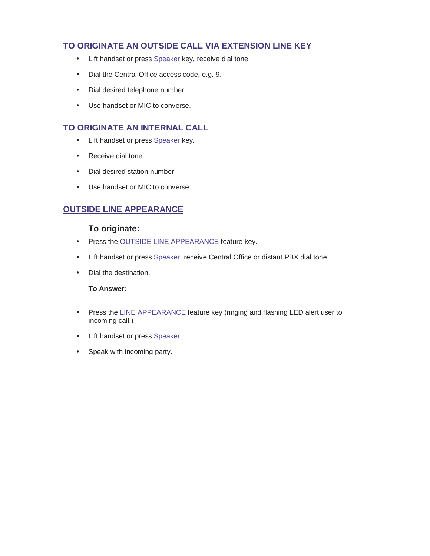## **TO ORIGINATE AN OUTSIDE CALL VIA EXTENSION LINE KEY**

- Lift handset or press Speaker key, receive dial tone.
- Dial the Central Office access code, e.g. 9.
- Dial desired telephone number.
- Use handset or MIC to converse.

## **TO ORIGINATE AN INTERNAL CALL**

- Lift handset or press Speaker key.
- Receive dial tone.
- Dial desired station number.
- Use handset or MIC to converse.

## **OUTSIDE LINE APPEARANCE**

#### **To originate:**

- Press the OUTSIDE LINE APPEARANCE feature key.
- Lift handset or press Speaker, receive Central Office or distant PBX dial tone.
- Dial the destination.

#### **To Answer:**

- Press the LINE APPEARANCE feature key (ringing and flashing LED alert user to incoming call.)
- Lift handset or press Speaker.
- Speak with incoming party.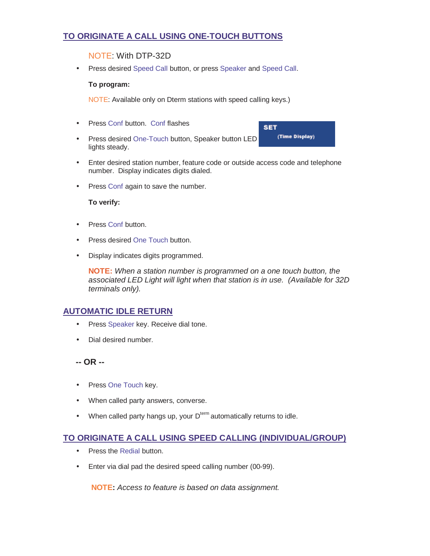## **TO ORIGINATE A CALL USING ONE-TOUCH BUTTONS**

#### NOTE: With DTP-32D

• Press desired Speed Call button, or press Speaker and Speed Call.

#### **To program:**

NOTE: Available only on Dterm stations with speed calling keys.)

- Press Conf button. Conf flashes
- Press desired One-Touch button, Speaker button LED lights steady.

**SET** (Time Display)

- Enter desired station number, feature code or outside access code and telephone number. Display indicates digits dialed.
- Press Conf again to save the number.

#### **To verify:**

- Press Conf button.
- Press desired One Touch button.
- Display indicates digits programmed.

**NOTE:** When a station number is programmed on a one touch button, the associated LED Light will light when that station is in use. (Available for 32D terminals only).

#### **AUTOMATIC IDLE RETURN**

- Press Speaker key. Receive dial tone.
- Dial desired number.
- **-- OR --**
- Press One Touch key.
- When called party answers, converse.
- When called party hangs up, your  $D^{term}$  automatically returns to idle.

## **TO ORIGINATE A CALL USING SPEED CALLING (INDIVIDUAL/GROUP)**

- Press the Redial button.
- Enter via dial pad the desired speed calling number (00-99).

**NOTE:** Access to feature is based on data assignment.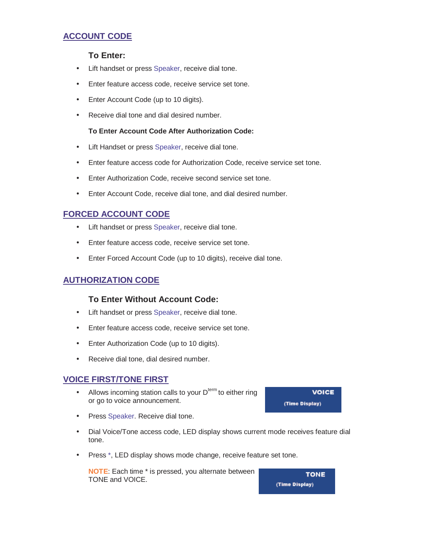## **ACCOUNT CODE**

#### **To Enter:**

- Lift handset or press Speaker, receive dial tone.
- Enter feature access code, receive service set tone.
- Enter Account Code (up to 10 digits).
- Receive dial tone and dial desired number.

#### **To Enter Account Code After Authorization Code:**

- Lift Handset or press Speaker, receive dial tone.
- Enter feature access code for Authorization Code, receive service set tone.
- Enter Authorization Code, receive second service set tone.
- Enter Account Code, receive dial tone, and dial desired number.

## **FORCED ACCOUNT CODE**

- Lift handset or press Speaker, receive dial tone.
- Enter feature access code, receive service set tone.
- Enter Forced Account Code (up to 10 digits), receive dial tone.

## **AUTHORIZATION CODE**

#### **To Enter Without Account Code:**

- Lift handset or press Speaker, receive dial tone.
- Enter feature access code, receive service set tone.
- Enter Authorization Code (up to 10 digits).
- Receive dial tone, dial desired number.

#### **VOICE FIRST/TONE FIRST**

- Allows incoming station calls to your  $D<sup>term</sup>$  to either ring or go to voice announcement.
- Press Speaker. Receive dial tone.
- Dial Voice/Tone access code, LED display shows current mode receives feature dial tone.
- Press \*, LED display shows mode change, receive feature set tone.

**NOTE**: Each time \* is pressed, you alternate between TONE and VOICE.

**TONE** (Time Display)

**VOICE** (Time Display)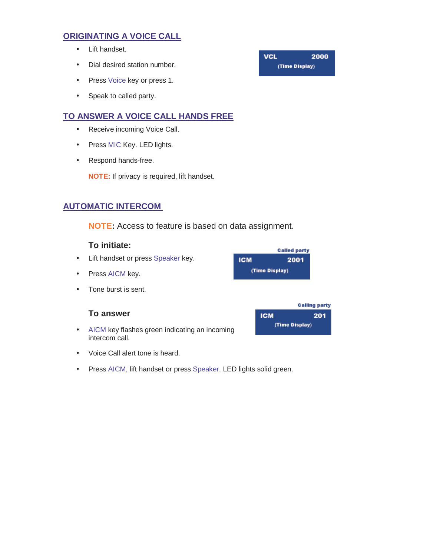## **ORIGINATING A VOICE CALL**

- Lift handset.
- Dial desired station number.
- Press Voice key or press 1.
- Speak to called party.

## **TO ANSWER A VOICE CALL HANDS FREE**

- Receive incoming Voice Call.
- Press MIC Key. LED lights.
- Respond hands-free.

**NOTE:** If privacy is required, lift handset.

## **AUTOMATIC INTERCOM**

**NOTE:** Access to feature is based on data assignment.

## **To initiate:**

- Lift handset or press Speaker key.
- Press AICM key.
- Tone burst is sent.

#### **To answer**

- AICM key flashes green indicating an incoming intercom call.
- Voice Call alert tone is heard.
- Press AICM, lift handset or press Speaker. LED lights solid green.

#### **Called party ICM** 2001 (Time Display)

#### **Calling party ICM** 201 (Time Display)

**VCL** 2000 (Time Display)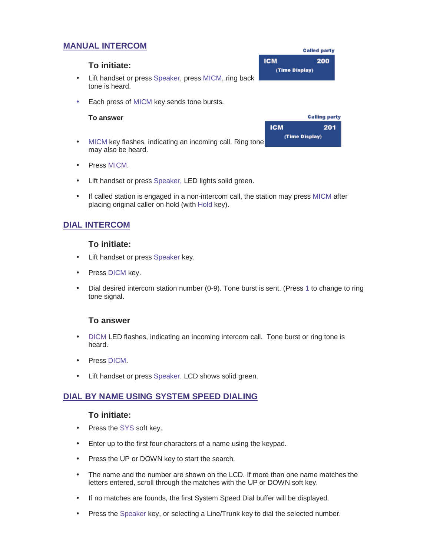## **MANUAL INTERCOM**

#### **ICM** 200 **To initiate:** (Time Display) • Lift handset or press Speaker, press MICM, ring back tone is heard.

• Each press of MICM key sends tone bursts.

#### **To answer**

- MICM key flashes, indicating an incoming call. Ring tone may also be heard.
- Press MICM.
- Lift handset or press Speaker, LED lights solid green.
- If called station is engaged in a non-intercom call, the station may press MICM after placing original caller on hold (with Hold key).

## **DIAL INTERCOM**

#### **To initiate:**

- Lift handset or press Speaker key.
- Press DICM key.
- Dial desired intercom station number (0-9). Tone burst is sent. (Press 1 to change to ring tone signal.

#### **To answer**

- DICM LED flashes, indicating an incoming intercom call. Tone burst or ring tone is heard.
- Press DICM.
- Lift handset or press Speaker. LCD shows solid green.

#### **DIAL BY NAME USING SYSTEM SPEED DIALING**

#### **To initiate:**

- Press the SYS soft key.
- Enter up to the first four characters of a name using the keypad.
- Press the UP or DOWN key to start the search.
- The name and the number are shown on the LCD. If more than one name matches the letters entered, scroll through the matches with the UP or DOWN soft key.
- If no matches are founds, the first System Speed Dial buffer will be displayed.
- Press the Speaker key, or selecting a Line/Trunk key to dial the selected number.

|            | <b>Calling party</b> |
|------------|----------------------|
| <b>ICM</b> | 201                  |
|            | (Time Display)       |

**Called party**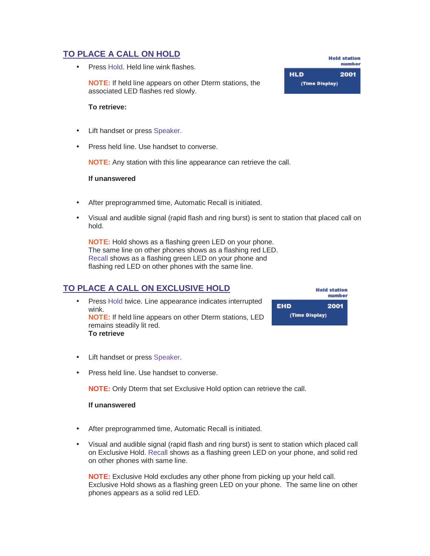## **TO PLACE A CALL ON HOLD**

• Press Hold. Held line wink flashes.

**NOTE:** If held line appears on other Dterm stations, the associated LED flashes red slowly.

#### **To retrieve:**

- Lift handset or press Speaker.
- Press held line. Use handset to converse.

**NOTE:** Any station with this line appearance can retrieve the call.

#### **If unanswered**

- After preprogrammed time, Automatic Recall is initiated.
- Visual and audible signal (rapid flash and ring burst) is sent to station that placed call on hold.

**NOTE:** Hold shows as a flashing green LED on your phone. The same line on other phones shows as a flashing red LED. Recall shows as a flashing green LED on your phone and flashing red LED on other phones with the same line.

## **TO PLACE A CALL ON EXCLUSIVE HOLD**

• Press Hold twice. Line appearance indicates interrupted wink. **NOTE:** If held line appears on other Dterm stations, LED remains steadily lit red. **To retrieve**

|                | <b>Held station</b><br>number |  |
|----------------|-------------------------------|--|
| EHD            | 2001                          |  |
| (Time Display) |                               |  |
|                |                               |  |

- Lift handset or press Speaker.
- Press held line. Use handset to converse.

**NOTE:** Only Dterm that set Exclusive Hold option can retrieve the call.

#### **If unanswered**

- After preprogrammed time, Automatic Recall is initiated.
- Visual and audible signal (rapid flash and ring burst) is sent to station which placed call on Exclusive Hold. Recall shows as a flashing green LED on your phone, and solid red on other phones with same line.

**NOTE:** Exclusive Hold excludes any other phone from picking up your held call. Exclusive Hold shows as a flashing green LED on your phone. The same line on other phones appears as a solid red LED.

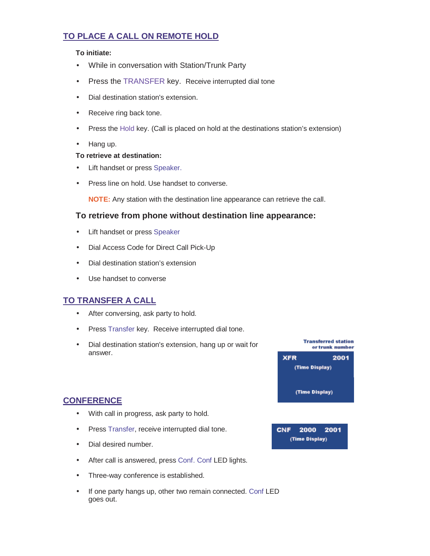## **TO PLACE A CALL ON REMOTE HOLD**

#### **To initiate:**

- While in conversation with Station/Trunk Party
- Press the TRANSFER key. Receive interrupted dial tone
- Dial destination station's extension.
- Receive ring back tone.
- Press the Hold key. (Call is placed on hold at the destinations station's extension)
- Hang up.

#### **To retrieve at destination:**

- Lift handset or press Speaker.
- Press line on hold. Use handset to converse.

**NOTE:** Any station with the destination line appearance can retrieve the call.

#### **To retrieve from phone without destination line appearance:**

- Lift handset or press Speaker
- Dial Access Code for Direct Call Pick-Up
- Dial destination station's extension
- Use handset to converse

## **TO TRANSFER A CALL**

- After conversing, ask party to hold.
- Press Transfer key. Receive interrupted dial tone.
- Dial destination station's extension, hang up or wait for answer.



(Time Display)

## **CONFERENCE**

- With call in progress, ask party to hold.
- Press Transfer, receive interrupted dial tone.
- Dial desired number.
- After call is answered, press Conf. Conf LED lights.
- Three-way conference is established.
- If one party hangs up, other two remain connected. Conf LED goes out.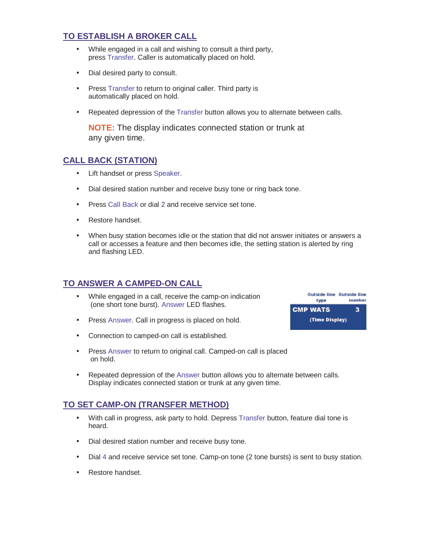## **TO ESTABLISH A BROKER CALL**

- While engaged in a call and wishing to consult a third party, press Transfer. Caller is automatically placed on hold.
- Dial desired party to consult.
- Press Transfer to return to original caller. Third party is automatically placed on hold.
- Repeated depression of the Transfer button allows you to alternate between calls.

**NOTE:** The display indicates connected station or trunk at any given time.

#### **CALL BACK (STATION)**

- Lift handset or press Speaker.
- Dial desired station number and receive busy tone or ring back tone.
- Press Call Back or dial 2 and receive service set tone.
- Restore handset.
- When busy station becomes idle or the station that did not answer initiates or answers a call or accesses a feature and then becomes idle, the setting station is alerted by ring and flashing LED.

## **TO ANSWER A CAMPED-ON CALL**

- While engaged in a call, receive the camp-on indication (one short tone burst). Answer LED flashes.
- Press Answer. Call in progress is placed on hold.
- Connection to camped-on call is established.
- Press Answer to return to original call. Camped-on call is placed on hold.
- Repeated depression of the Answer button allows you to alternate between calls. Display indicates connected station or trunk at any given time.

## **TO SET CAMP-ON (TRANSFER METHOD)**

- With call in progress, ask party to hold. Depress Transfer button, feature dial tone is heard.
- Dial desired station number and receive busy tone.
- Dial 4 and receive service set tone. Camp-on tone (2 tone bursts) is sent to busy station.
- Restore handset.

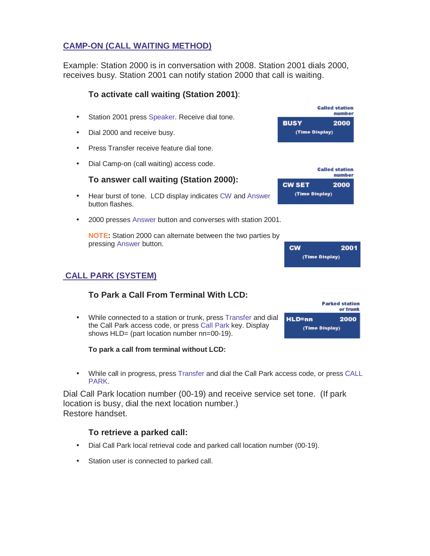## **CAMP-ON (CALL WAITING METHOD)**

Example: Station 2000 is in conversation with 2008. Station 2001 dials 2000, receives busy. Station 2001 can notify station 2000 that call is waiting.

#### **To activate call waiting (Station 2001)**:

- Station 2001 press Speaker. Receive dial tone.
- Dial 2000 and receive busy.
- Press Transfer receive feature dial tone.
- Dial Camp-on (call waiting) access code.

#### **To answer call waiting (Station 2000):**

- Hear burst of tone. LCD display indicates CW and Answer button flashes.
- 2000 presses Answer button and converses with station 2001.

**NOTE:** Station 2000 can alternate between the two parties by pressing Answer button.



(Time Display)

**BUSY** 

**CW SET** 

**Called station** number

**Called station** number

2000

2000

| <b>CW</b> | 2001           |
|-----------|----------------|
|           | (Time Display) |

## **CALL PARK (SYSTEM)**

## **To Park a Call From Terminal With LCD:**

• While connected to a station or trunk, press Transfer and dial the Call Park access code, or press Call Park key. Display shows HLD= (part location number nn=00-19).

**To park a call from terminal without LCD:**

• While call in progress, press Transfer and dial the Call Park access code, or press CALL PARK.

Dial Call Park location number (00-19) and receive service set tone. (If park location is busy, dial the next location number.) Restore handset.

#### **To retrieve a parked call:**

- Dial Call Park local retrieval code and parked call location number (00-19).
- Station user is connected to parked call.

|                | <b>Parked station</b><br>or trunk |  |
|----------------|-----------------------------------|--|
| lLD=nn         | 2000                              |  |
| (Time Display) |                                   |  |
|                |                                   |  |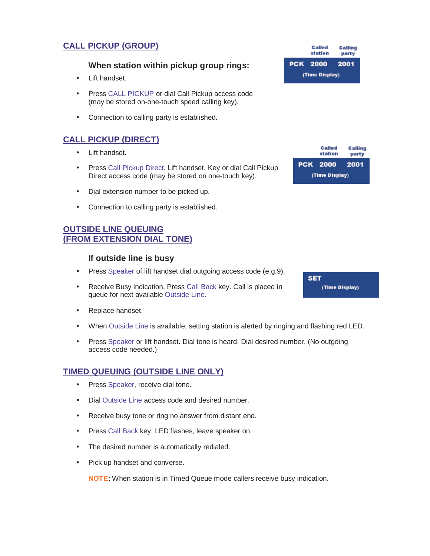## **CALL PICKUP (GROUP)**

#### **When station within pickup group rings:**

- Lift handset.
- Press CALL PICKUP or dial Call Pickup access code (may be stored on-one-touch speed calling key).
- Connection to calling party is established.

## **CALL PICKUP (DIRECT)**

- Lift handset.
- Press Call Pickup Direct. Lift handset. Key or dial Call Pickup Direct access code (may be stored on one-touch key).
- Dial extension number to be picked up.
- Connection to calling party is established.

#### **OUTSIDE LINE QUEUING (FROM EXTENSION DIAL TONE)**

#### **If outside line is busy**

- Press Speaker of lift handset dial outgoing access code (e.g.9).
- Receive Busy indication. Press Call Back key. Call is placed in queue for next available Outside Line.
- Replace handset.
- When Outside Line is available, setting station is alerted by ringing and flashing red LED.
- Press Speaker or lift handset. Dial tone is heard. Dial desired number. (No outgoing access code needed.)

#### **TIMED QUEUING (OUTSIDE LINE ONLY)**

- Press Speaker, receive dial tone.
- Dial Outside Line access code and desired number.
- Receive busy tone or ring no answer from distant end.
- Press Call Back key, LED flashes, leave speaker on.
- The desired number is automatically redialed.
- Pick up handset and converse.

**NOTE:** When station is in Timed Queue mode callers receive busy indication.

|                | <b>Called</b><br>station | Calling<br>party |
|----------------|--------------------------|------------------|
|                | <b>PCK 2000</b>          | 2001             |
| (Time Display) |                          |                  |

|                | <b>Called</b><br>station | Calling<br>party |
|----------------|--------------------------|------------------|
|                | <b>PCK 2000</b>          | 2001             |
| (Time Display) |                          |                  |

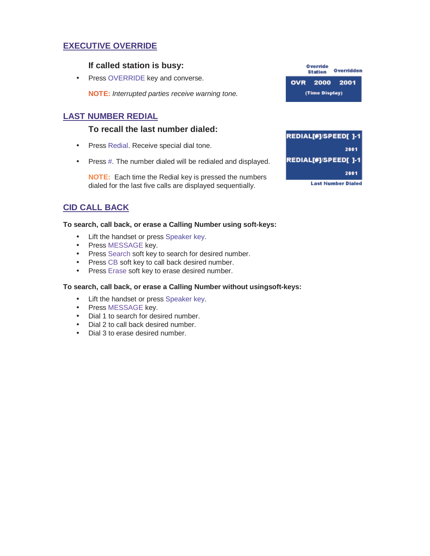## **EXECUTIVE OVERRIDE**

#### **If called station is busy:**

• Press OVERRIDE key and converse.

**NOTE:** Interrupted parties receive warning tone.

#### **LAST NUMBER REDIAL**

#### **To recall the last number dialed:**

- Press Redial. Receive special dial tone.
- Press #. The number dialed will be redialed and displayed.

**NOTE:** Each time the Redial key is pressed the numbers dialed for the last five calls are displayed sequentially.

## **CID CALL BACK**

#### **To search, call back, or erase a Calling Number using soft-keys:**

- Lift the handset or press Speaker key.
- Press MESSAGE key.
- Press Search soft key to search for desired number.
- Press CB soft key to call back desired number.
- Press Erase soft key to erase desired number.

#### **To search, call back, or erase a Calling Number without usingsoft-keys:**

- Lift the handset or press Speaker key.
- Press MESSAGE key.
- Dial 1 to search for desired number.
- Dial 2 to call back desired number.
- Dial 3 to erase desired number.

| Override<br><b>Station</b> |               | Overridden |
|----------------------------|---------------|------------|
|                            | OVR 2000 2001 |            |
| (Time Display)             |               |            |

| REDIAL[#]/SPEED[ ]-1 |
|----------------------|
| 2001                 |
| REDIAL[#]/SPEED[]-1  |
| 2001                 |
| Last Number Dialed   |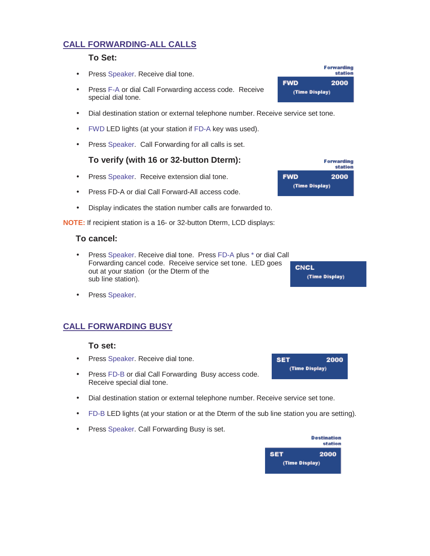## **CALL FORWARDING-ALL CALLS**

#### **To Set:**

- Press Speaker. Receive dial tone.
- Press F-A or dial Call Forwarding access code. Receive special dial tone.
- Dial destination station or external telephone number. Receive service set tone.
- FWD LED lights (at your station if FD-A key was used).
- Press Speaker. Call Forwarding for all calls is set.

#### **To verify (with 16 or 32-button Dterm):**

- Press Speaker. Receive extension dial tone.
- Press FD-A or dial Call Forward-All access code.
- Display indicates the station number calls are forwarded to.

**NOTE:** If recipient station is a 16- or 32-button Dterm, LCD displays:

#### **To cancel:**

- Press Speaker. Receive dial tone. Press FD-A plus \* or dial Call Forwarding cancel code. Receive service set tone. LED goes out at your station (or the Dterm of the sub line station).
- Press Speaker.

## **CALL FORWARDING BUSY**

#### **To set:**

- Press Speaker. Receive dial tone.
- Press FD-B or dial Call Forwarding Busy access code. Receive special dial tone.
- Dial destination station or external telephone number. Receive service set tone.
- FD-B LED lights (at your station or at the Dterm of the sub line station you are setting).
- Press Speaker. Call Forwarding Busy is set.



|                | <b>Forwarding</b><br>station |  |
|----------------|------------------------------|--|
| <b>FWD</b>     | 2000                         |  |
| (Time Display) |                              |  |

|                | <b>Forwarding</b><br>station |  |  |  |
|----------------|------------------------------|--|--|--|
| <b>FWD</b>     | 2000                         |  |  |  |
| (Time Display) |                              |  |  |  |

**CNCL** (Time Display)

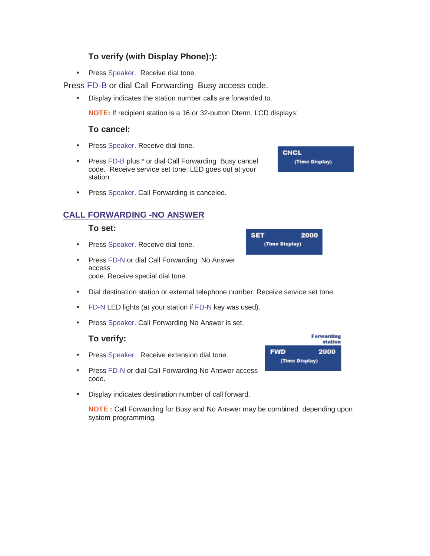## **To verify (with Display Phone):):**

• Press Speaker. Receive dial tone.

Press FD-B or dial Call Forwarding Busy access code.

• Display indicates the station number calls are forwarded to.

**NOTE:** If recipient station is a 16 or 32-button Dterm, LCD displays:

#### **To cancel:**

- Press Speaker. Receive dial tone.
- Press FD-B plus \* or dial Call Forwarding Busy cancel code. Receive service set tone. LED goes out at your station.
- Press Speaker. Call Forwarding is canceled.

## **CALL FORWARDING -NO ANSWER**

#### **To set:**

- Press Speaker. Receive dial tone.
- Press FD-N or dial Call Forwarding No Answer access code. Receive special dial tone.
- Dial destination station or external telephone number. Receive service set tone.

**SET** 

(Time Display)

- FD-N LED lights (at your station if FD-N key was used).
- Press Speaker. Call Forwarding No Answer is set.

#### **To verify:**

- Press Speaker. Receive extension dial tone.
- Press FD-N or dial Call Forwarding-No Answer access code.
- Display indicates destination number of call forward.

**NOTE :** Call Forwarding for Busy and No Answer may be combined depending upon system programming.



**CNCL** (Time Display)

2000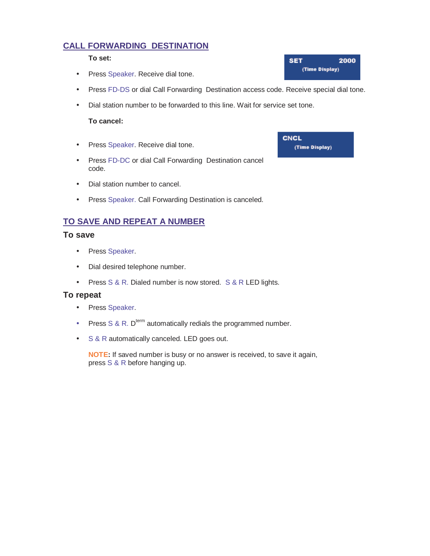## **CALL FORWARDING DESTINATION**

#### **To set:**

- Press Speaker. Receive dial tone.
- Press FD-DS or dial Call Forwarding Destination access code. Receive special dial tone.
- Dial station number to be forwarded to this line. Wait for service set tone.

#### **To cancel:**

- Press Speaker. Receive dial tone.
- Press FD-DC or dial Call Forwarding Destination cancel code.
- Dial station number to cancel.
- Press Speaker. Call Forwarding Destination is canceled.

## **TO SAVE AND REPEAT A NUMBER**

#### **To save**

- Press Speaker.
- Dial desired telephone number.
- Press S & R. Dialed number is now stored. S & R LED lights.

#### **To repeat**

- Press Speaker.
- Press  $S & R$ . D<sup>term</sup> automatically redials the programmed number.
- S & R automatically canceled. LED goes out.

**NOTE:** If saved number is busy or no answer is received, to save it again, press S&R before hanging up.

| SET            | 2000 |
|----------------|------|
| (Time Display) |      |

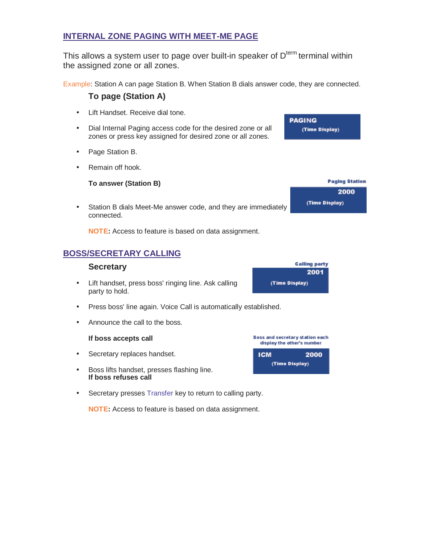#### **INTERNAL ZONE PAGING WITH MEET-ME PAGE**

This allows a system user to page over built-in speaker of  $D<sup>term</sup>$  terminal within the assigned zone or all zones.

Example: Station A can page Station B. When Station B dials answer code, they are connected.

**To page (Station A)**

- Lift Handset. Receive dial tone.
- Dial Internal Paging access code for the desired zone or all zones or press key assigned for desired zone or all zones.
- Page Station B.
- Remain off hook.

#### **To answer (Station B)**

• Station B dials Meet-Me answer code, and they are immediately connected.

**NOTE:** Access to feature is based on data assignment.

## **BOSS/SECRETARY CALLING**

#### **Secretary**

- Lift handset, press boss' ringing line. Ask calling party to hold.
- Press boss' line again. Voice Call is automatically established.
- Announce the call to the boss.

#### **If boss accepts call**

- Secretary replaces handset.
- Boss lifts handset, presses flashing line. **If boss refuses call**
- Secretary presses Transfer key to return to calling party.

**NOTE:** Access to feature is based on data assignment.







(Time Display)

**Paging Station** 2000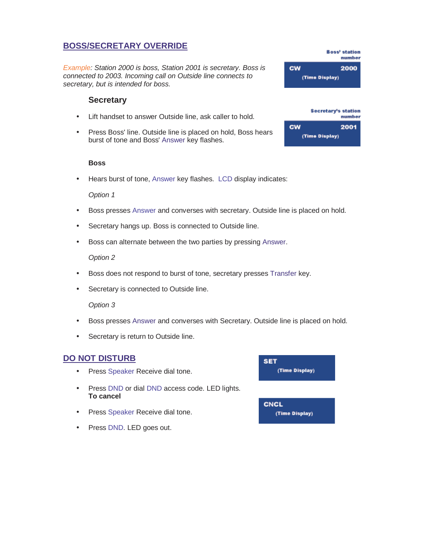## **BOSS/SECRETARY OVERRIDE**

Example: Station 2000 is boss, Station 2001 is secretary. Boss is connected to 2003. Incoming call on Outside line connects to secretary, but is intended for boss.

#### **Secretary**

- Lift handset to answer Outside line, ask caller to hold.
- Press Boss' line. Outside line is placed on hold, Boss hears burst of tone and Boss' Answer key flashes.

#### **Boss**

• Hears burst of tone, Answer key flashes. LCD display indicates:

#### Option 1

- Boss presses Answer and converses with secretary. Outside line is placed on hold.
- Secretary hangs up. Boss is connected to Outside line.
- Boss can alternate between the two parties by pressing Answer.

#### Option 2

- Boss does not respond to burst of tone, secretary presses Transfer key.
- Secretary is connected to Outside line.

#### Option 3

- Boss presses Answer and converses with Secretary. Outside line is placed on hold.
- Secretary is return to Outside line.

#### **DO NOT DISTURB**

- Press Speaker Receive dial tone.
- Press DND or dial DND access code. LED lights. **To cancel**
- Press Speaker Receive dial tone.
- Press DND. LED goes out.





**Boss' station** 

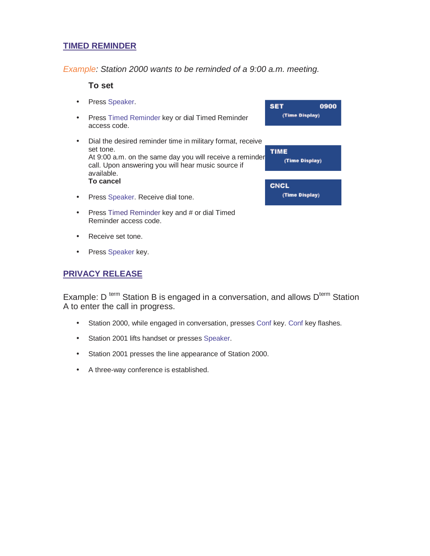## **TIMED REMINDER**

Example: Station 2000 wants to be reminded of a 9:00 a.m. meeting.

#### **To set**

- Press Speaker.
- Press Timed Reminder key or dial Timed Reminder access code.
- Dial the desired reminder time in military format, receive set tone. At 9:00 a.m. on the same day you will receive a reminder call. Upon answering you will hear music source if available. **To cancel**
- Press Speaker. Receive dial tone.
- Press Timed Reminder key and # or dial Timed Reminder access code.
- Receive set tone.
- Press Speaker key.

#### **PRIVACY RELEASE**

Example: D<sup>term</sup> Station B is engaged in a conversation, and allows  $D<sup>term</sup>$  Station A to enter the call in progress.

- Station 2000, while engaged in conversation, presses Conf key. Conf key flashes.
- Station 2001 lifts handset or presses Speaker.
- Station 2001 presses the line appearance of Station 2000.
- A three-way conference is established.

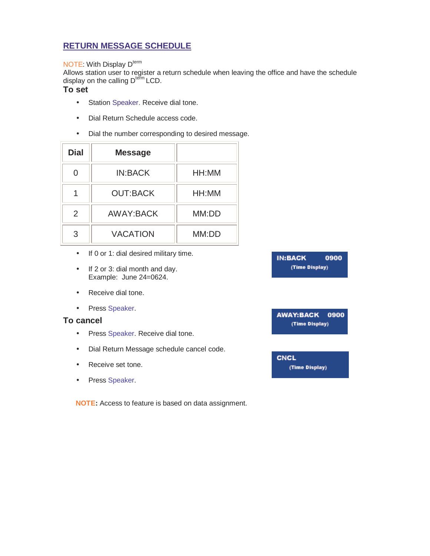## **RETURN MESSAGE SCHEDULE**

#### NOTE: With Display D<sup>term</sup>

Allows station user to register a return schedule when leaving the office and have the schedule display on the calling D<sup>term</sup> LCD.

#### **To set**

- Station Speaker. Receive dial tone.
- Dial Return Schedule access code.
- Dial the number corresponding to desired message.

| <b>Dial</b> | <b>Message</b>  |       |
|-------------|-----------------|-------|
|             | <b>IN:BACK</b>  | HH:MM |
|             | <b>OUT:BACK</b> | HH:MM |
| 2           | AWAY:BACK       | MM:DD |
| 3           | <b>VACATION</b> | MM:DD |

- If 0 or 1: dial desired military time.
- If 2 or 3: dial month and day. Example: June 24=0624.
- Receive dial tone.
- Press Speaker.

#### **To cancel**

- Press Speaker. Receive dial tone.
- Dial Return Message schedule cancel code.
- Receive set tone.
- Press Speaker.

**NOTE:** Access to feature is based on data assignment.

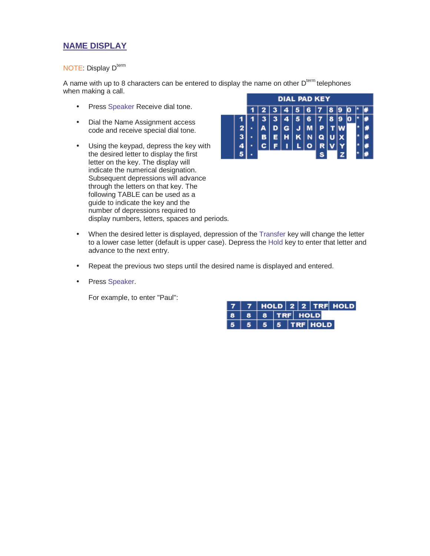## **NAME DISPLAY**

#### NOTE: Display D<sup>term</sup>

A name with up to 8 characters can be entered to display the name on other  $D<sup>term</sup>$  telephones when making a call.

- Press Speaker Receive dial tone.
- Dial the Name Assignment access code and receive special dial tone.
- Using the keypad, depress the key with the desired letter to display the first letter on the key. The display will indicate the numerical designation. Subsequent depressions will advance through the letters on that key. The following TABLE can be used as a guide to indicate the key and the number of depressions required to display numbers, letters, spaces and periods.



- When the desired letter is displayed, depression of the Transfer key will change the letter to a lower case letter (default is upper case). Depress the Hold key to enter that letter and advance to the next entry.
- Repeat the previous two steps until the desired name is displayed and entered.
- Press Speaker.

For example, to enter "Paul":

|                                        |  |  |  | 7   7   HOLD   2   2   TRF   HOLD |
|----------------------------------------|--|--|--|-----------------------------------|
| $8 8 8 $ TRF HOLD                      |  |  |  |                                   |
| $5 \mid 5 \mid 5 \mid 5 \mid$ TRF HOLD |  |  |  |                                   |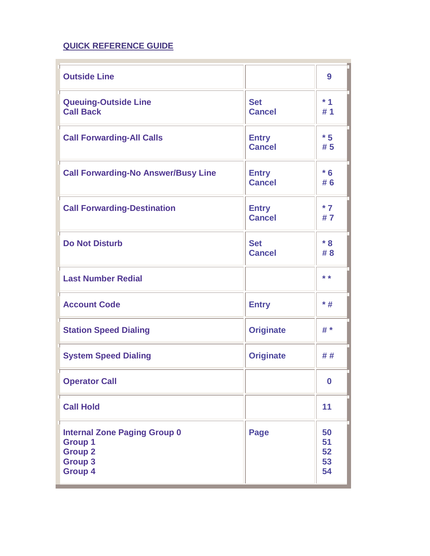## **QUICK REFERENCE GUIDE**

| <b>Outside Line</b>                                                                                         |                               | 9                          |
|-------------------------------------------------------------------------------------------------------------|-------------------------------|----------------------------|
| <b>Queuing-Outside Line</b><br><b>Call Back</b>                                                             | <b>Set</b><br><b>Cancel</b>   | $*1$<br># 1                |
| <b>Call Forwarding-All Calls</b>                                                                            | <b>Entry</b><br><b>Cancel</b> | $*5$<br># 5                |
| <b>Call Forwarding-No Answer/Busy Line</b>                                                                  | <b>Entry</b><br><b>Cancel</b> | $*6$<br># 6                |
| <b>Call Forwarding-Destination</b>                                                                          | <b>Entry</b><br><b>Cancel</b> | $*7$<br>#7                 |
| <b>Do Not Disturb</b>                                                                                       | <b>Set</b><br><b>Cancel</b>   | $*8$<br># 8                |
| <b>Last Number Redial</b>                                                                                   |                               | * *                        |
| <b>Account Code</b>                                                                                         | <b>Entry</b>                  | $*$ #                      |
| <b>Station Speed Dialing</b>                                                                                | <b>Originate</b>              | # *                        |
| <b>System Speed Dialing</b>                                                                                 | <b>Originate</b>              | ##                         |
| <b>Operator Call</b>                                                                                        |                               | $\boldsymbol{0}$           |
| <b>Call Hold</b>                                                                                            |                               | 11                         |
| <b>Internal Zone Paging Group 0</b><br><b>Group 1</b><br><b>Group 2</b><br><b>Group 3</b><br><b>Group 4</b> | <b>Page</b>                   | 50<br>51<br>52<br>53<br>54 |